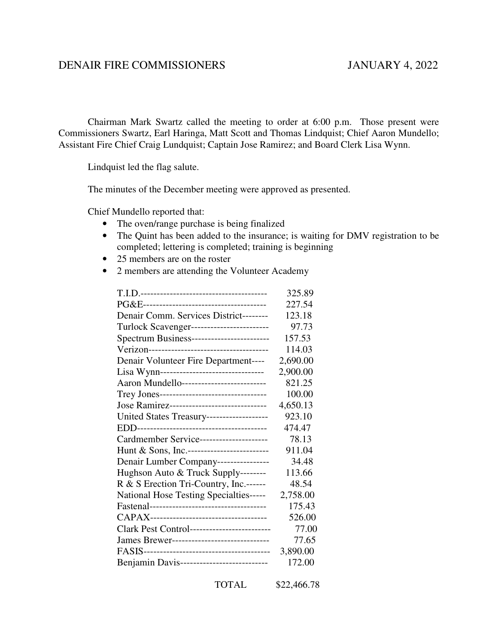## DENAIR FIRE COMMISSIONERS JANUARY 4, 2022

 Chairman Mark Swartz called the meeting to order at 6:00 p.m. Those present were Commissioners Swartz, Earl Haringa, Matt Scott and Thomas Lindquist; Chief Aaron Mundello; Assistant Fire Chief Craig Lundquist; Captain Jose Ramirez; and Board Clerk Lisa Wynn.

Lindquist led the flag salute.

The minutes of the December meeting were approved as presented.

Chief Mundello reported that:

- The oven/range purchase is being finalized
- The Quint has been added to the insurance; is waiting for DMV registration to be completed; lettering is completed; training is beginning
- 25 members are on the roster
- 2 members are attending the Volunteer Academy

|                                              | 325.89   |
|----------------------------------------------|----------|
|                                              | 227.54   |
| Denair Comm. Services District--------       | 123.18   |
| Turlock Scavenger-------------------------   | 97.73    |
| Spectrum Business------------------------    | 157.53   |
|                                              | 114.03   |
| Denair Volunteer Fire Department----         | 2,690.00 |
| Lisa Wynn--------------------------------    | 2,900.00 |
| Aaron Mundello--------------------------     | 821.25   |
| Trey Jones---------------------------------- | 100.00   |
| Jose Ramirez-------------------------------  | 4,650.13 |
| United States Treasury--------------------   | 923.10   |
|                                              | 474.47   |
| Cardmember Service---------------------      | 78.13    |
| Hunt & Sons, Inc.--------------------------  | 911.04   |
| Denair Lumber Company----------------        | 34.48    |
| Hughson Auto & Truck Supply--------          | 113.66   |
| R & S Erection Tri-Country, Inc.------       | 48.54    |
| National Hose Testing Specialties-----       | 2,758.00 |
|                                              | 175.43   |
|                                              | 526.00   |
| Clark Pest Control-------------------------  | 77.00    |
| James Brewer-------------------------------  | 77.65    |
|                                              | 3,890.00 |
| Benjamin Davis---------------------------    | 172.00   |
|                                              |          |

TOTAL \$22,466.78